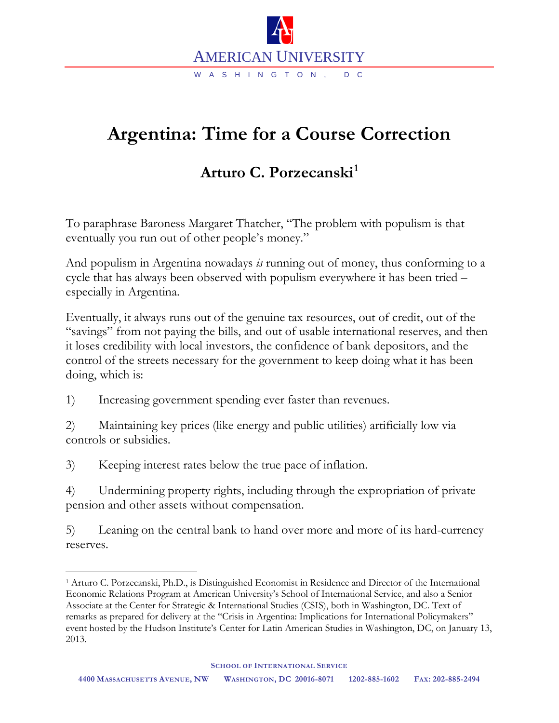

## **Argentina: Time for a Course Correction**

## **Arturo C. Porzecanski[1](#page-0-0)**

To paraphrase Baroness Margaret Thatcher, "The problem with populism is that eventually you run out of other people's money."

And populism in Argentina nowadays *is* running out of money, thus conforming to a cycle that has always been observed with populism everywhere it has been tried – especially in Argentina.

Eventually, it always runs out of the genuine tax resources, out of credit, out of the "savings" from not paying the bills, and out of usable international reserves, and then it loses credibility with local investors, the confidence of bank depositors, and the control of the streets necessary for the government to keep doing what it has been doing, which is:

1) Increasing government spending ever faster than revenues.

2) Maintaining key prices (like energy and public utilities) artificially low via controls or subsidies.

3) Keeping interest rates below the true pace of inflation.

4) Undermining property rights, including through the expropriation of private pension and other assets without compensation.

5) Leaning on the central bank to hand over more and more of its hard-currency reserves.

<span id="page-0-0"></span> <sup>1</sup> Arturo C. Porzecanski, Ph.D., is Distinguished Economist in Residence and Director of the International Economic Relations Program at American University's School of International Service, and also a Senior Associate at the Center for Strategic & International Studies (CSIS), both in Washington, DC. Text of remarks as prepared for delivery at the "Crisis in Argentina: Implications for International Policymakers" event hosted by the Hudson Institute's Center for Latin American Studies in Washington, DC, on January 13, 2013.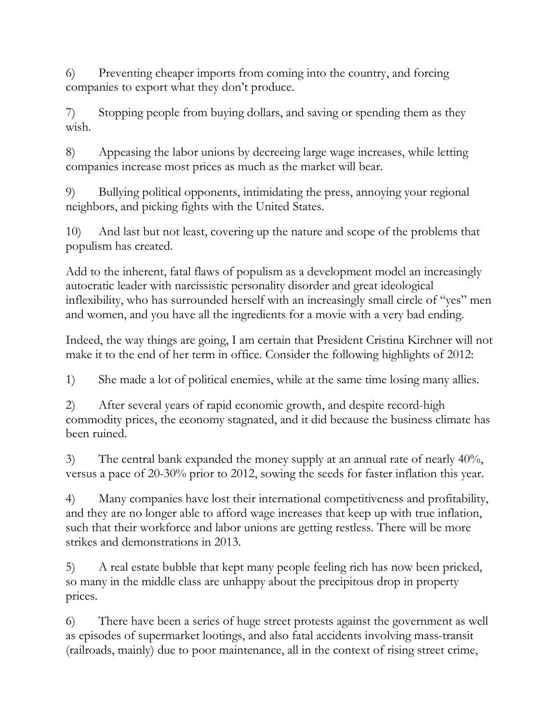6) Preventing cheaper imports from coming into the country, and forcing companies to export what they don't produce.

7) Stopping people from buying dollars, and saving or spending them as they wish.

8) Appeasing the labor unions by decreeing large wage increases, while letting companies increase most prices as much as the market will bear.

9) Bullying political opponents, intimidating the press, annoying your regional neighbors, and picking fights with the United States.

10) And last but not least, covering up the nature and scope of the problems that populism has created.

Add to the inherent, fatal flaws of populism as a development model an increasingly autocratic leader with narcissistic personality disorder and great ideological inflexibility, who has surrounded herself with an increasingly small circle of "yes" men and women, and you have all the ingredients for a movie with a very bad ending.

Indeed, the way things are going, I am certain that President Cristina Kirchner will not make it to the end of her term in office. Consider the following highlights of 2012:

1) She made a lot of political enemies, while at the same time losing many allies.

2) After several years of rapid economic growth, and despite record-high commodity prices, the economy stagnated, and it did because the business climate has been ruined.

3) The central bank expanded the money supply at an annual rate of nearly 40%, versus a pace of 20-30% prior to 2012, sowing the seeds for faster inflation this year.

4) Many companies have lost their international competitiveness and profitability, and they are no longer able to afford wage increases that keep up with true inflation, such that their workforce and labor unions are getting restless. There will be more strikes and demonstrations in 2013.

5) A real estate bubble that kept many people feeling rich has now been pricked, so many in the middle class are unhappy about the precipitous drop in property prices.

6) There have been a series of huge street protests against the government as well as episodes of supermarket lootings, and also fatal accidents involving mass-transit (railroads, mainly) due to poor maintenance, all in the context of rising street crime,